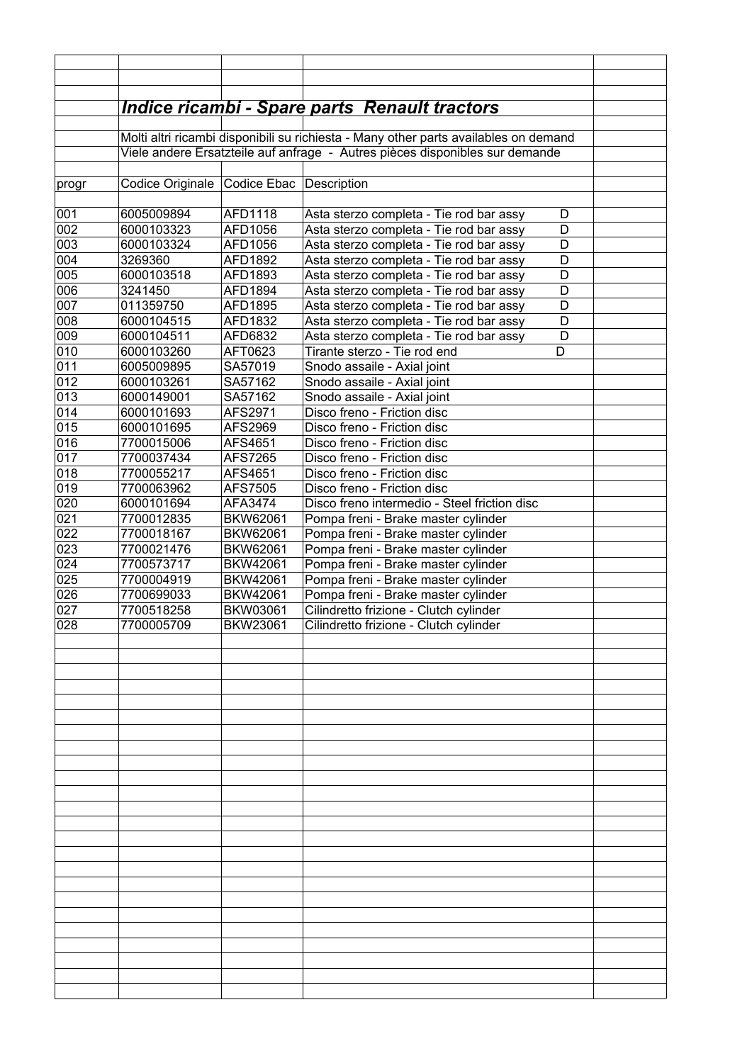|            |                                                                              |                             | <u> Indice ricambi - Spare parts Renault tractors</u>                                |  |  |
|------------|------------------------------------------------------------------------------|-----------------------------|--------------------------------------------------------------------------------------|--|--|
|            |                                                                              |                             |                                                                                      |  |  |
|            |                                                                              |                             | Molti altri ricambi disponibili su richiesta - Many other parts availables on demand |  |  |
|            | Viele andere Ersatzteile auf anfrage - Autres pièces disponibles sur demande |                             |                                                                                      |  |  |
|            |                                                                              |                             |                                                                                      |  |  |
| progr      | Codice Originale Codice Ebac                                                 |                             | Description                                                                          |  |  |
|            |                                                                              |                             |                                                                                      |  |  |
| 001        | 6005009894                                                                   | AFD1118                     | Asta sterzo completa - Tie rod bar assy<br>D                                         |  |  |
| 002        | 6000103323                                                                   | AFD1056                     | Asta sterzo completa - Tie rod bar assy<br>D                                         |  |  |
| 003        | 6000103324                                                                   | AFD1056                     | D<br>Asta sterzo completa - Tie rod bar assy                                         |  |  |
| 004        | 3269360                                                                      | AFD1892                     | D<br>Asta sterzo completa - Tie rod bar assy                                         |  |  |
| 005        | 6000103518                                                                   | AFD1893                     | D<br>Asta sterzo completa - Tie rod bar assy                                         |  |  |
| 006        | 3241450                                                                      | AFD1894                     | D<br>Asta sterzo completa - Tie rod bar assy                                         |  |  |
| 007        | 011359750                                                                    | AFD1895                     | D<br>Asta sterzo completa - Tie rod bar assy                                         |  |  |
| 008        | 6000104515                                                                   | AFD1832                     | D<br>Asta sterzo completa - Tie rod bar assy                                         |  |  |
| 009        | 6000104511                                                                   | AFD6832                     | D<br>Asta sterzo completa - Tie rod bar assy                                         |  |  |
| 010        | 6000103260                                                                   | AFT0623                     | Tirante sterzo - Tie rod end<br>D                                                    |  |  |
| 011        | 6005009895                                                                   | SA57019                     | Snodo assaile - Axial joint                                                          |  |  |
| 012        | 6000103261                                                                   | SA57162                     | Snodo assaile - Axial joint                                                          |  |  |
| 013        | 6000149001                                                                   | SA57162                     | Snodo assaile - Axial joint                                                          |  |  |
| 014        | 6000101693                                                                   | AFS2971                     | Disco freno - Friction disc                                                          |  |  |
| 015        | 6000101695                                                                   | AFS2969                     | Disco freno - Friction disc                                                          |  |  |
| 016        | 7700015006                                                                   | AFS4651                     | Disco freno - Friction disc                                                          |  |  |
| 017        | 7700037434                                                                   | AFS7265                     | Disco freno - Friction disc                                                          |  |  |
| 018        | 7700055217                                                                   | AFS4651                     | Disco freno - Friction disc                                                          |  |  |
| 019        | 7700063962                                                                   | AFS7505                     | Disco freno - Friction disc                                                          |  |  |
| 020        | 6000101694                                                                   | AFA3474                     | Disco freno intermedio - Steel friction disc                                         |  |  |
| 021        | 7700012835                                                                   | <b>BKW62061</b>             | Pompa freni - Brake master cylinder                                                  |  |  |
| 022        | 7700018167                                                                   | BKW62061                    | Pompa freni - Brake master cylinder                                                  |  |  |
| 023<br>024 | 7700021476                                                                   | BKW62061<br><b>BKW42061</b> | Pompa freni - Brake master cylinder                                                  |  |  |
| 025        | 7700573717<br>7700004919                                                     | <b>BKW42061</b>             | Pompa freni - Brake master cylinder<br>Pompa freni - Brake master cylinder           |  |  |
| 026        | 7700699033                                                                   | BKW42061                    | Pompa freni - Brake master cylinder                                                  |  |  |
| 027        | 7700518258                                                                   | <b>BKW03061</b>             | Cilindretto frizione - Clutch cylinder                                               |  |  |
| 028        | 7700005709                                                                   | <b>BKW23061</b>             | Cilindretto frizione - Clutch cylinder                                               |  |  |
|            |                                                                              |                             |                                                                                      |  |  |
|            |                                                                              |                             |                                                                                      |  |  |
|            |                                                                              |                             |                                                                                      |  |  |
|            |                                                                              |                             |                                                                                      |  |  |
|            |                                                                              |                             |                                                                                      |  |  |
|            |                                                                              |                             |                                                                                      |  |  |
|            |                                                                              |                             |                                                                                      |  |  |
|            |                                                                              |                             |                                                                                      |  |  |
|            |                                                                              |                             |                                                                                      |  |  |
|            |                                                                              |                             |                                                                                      |  |  |
|            |                                                                              |                             |                                                                                      |  |  |
|            |                                                                              |                             |                                                                                      |  |  |
|            |                                                                              |                             |                                                                                      |  |  |
|            |                                                                              |                             |                                                                                      |  |  |
|            |                                                                              |                             |                                                                                      |  |  |
|            |                                                                              |                             |                                                                                      |  |  |
|            |                                                                              |                             |                                                                                      |  |  |
|            |                                                                              |                             |                                                                                      |  |  |
|            |                                                                              |                             |                                                                                      |  |  |
|            |                                                                              |                             |                                                                                      |  |  |
|            |                                                                              |                             |                                                                                      |  |  |
|            |                                                                              |                             |                                                                                      |  |  |
|            |                                                                              |                             |                                                                                      |  |  |
|            |                                                                              |                             |                                                                                      |  |  |